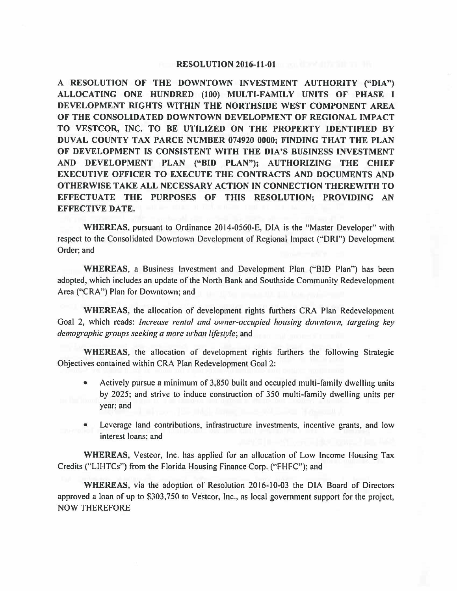## **RESOLUTION 2016-11-01**

I **ALLOCATING ONE HUNDRED (100) MUL TI-FAMILY UNITS OF PHASE A RESOLUTION OF THE DOWNTOWN INVESTMENT AUTHORITY ("DIA") DEVELOPMENT RIGHTS WITHIN THE NORTHSIDE WEST COMPONENT AREA OF THE CONSOLIDATED DOWNTOWN DEVELOPMENT OF REGIONAL IMPACT TO VESTCOR, INC. TO BE UTILIZED ON THE PROPERTY IDENTIFIED BY DUVAL COUNTY TAX PARCE NUMBER 074920 0000; FINDING THAT THE PLAN OF DEVELOPMENT IS CONSISTENT WITH THE DIA'S BUSINESS INVESTMENT AND DEVELOPMENT PLAN ("BID PLAN"); AUTHORIZING THE CHIEF EXECUTIVE OFFICER TO EXECUTE THE CONTRACTS AND DOCUMENTS AND OTHERWISE TAKE ALL NECESSARY ACTION IN CONNECTION THEREWITH TO EFFECTUATE THE PURPOSES OF THIS RESOLUTION; PROVIDING AN EFFECTIVE DATE.** 

**WHEREAS,** pursuant to Ordinance 2014-0560-E, DIA is the "Master Developer" with respect to the Consolidated Downtown Development of Regional Impact ("ORI") Development Order; and

**WHEREAS,** a Business Investment and Development Plan ("BID Plan") has been adopted, which includes an update of the North Bank and Southside Community Redevelopment Area ("CRA") Plan for Downtown; and

**WHEREAS,** the allocation of development rights furthers CRA Plan Redevelopment Goal 2, which reads: *Increase rental and owner-occupied housing downtown, targeting key demographic groups seeking a more urban lifestyle;* and

**WHEREAS,** the allocation of development rights furthers the following Strategic Objectives contained within CRA Plan Redevelopment Goal 2:

- Actively pursue a minimum of 3,850 built and occupied multi-family dwelling units by 2025; and strive to induce construction of 350 multi-family dwelling units per year; and
- Leverage land contributions, infrastructure investments, incentive grants, and low interest loans; and

**WHEREAS,** Vestcor, Inc. has applied for an allocation of Low Income Housing Tax Credits ("LIHTCs") from the Florida Housing Finance Corp. (''FHFC"); and

**WHEREAS,** via the adoption of Resolution 2016-10-03 the DIA Board of Directors approved a loan of up to \$303,750 to Vestcor, Inc., as local government support for the project, NOW THEREFORE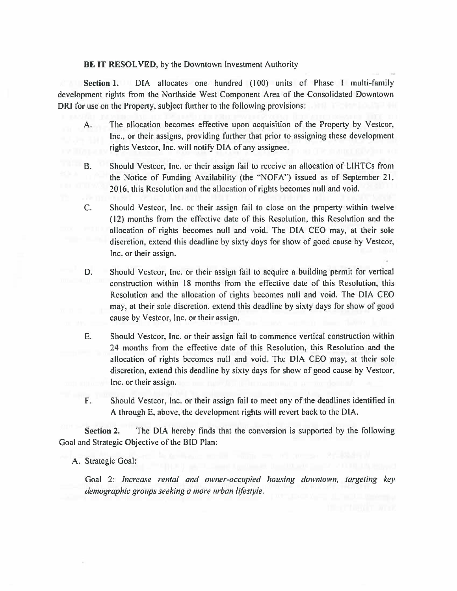## **BE IT RESOLVED,** by the Downtown Investment Authority

**Section 1.** DIA allocates one hundred (100) units of Phase I multi-family development rights from the Northside West Component Area of the Consolidated Downtown ORI for use on the Property, subject further to the following provisions:

- A. The allocation becomes effective upon acquisition of the Property by Vestcor, Inc., or their assigns, providing further that prior to assigning these development rights Vestcor, Inc. will notify DIA of any assignee.
- B. Should Vestcor, Inc. or their assign fail to receive an allocation of LIHTCs from the Notice of Funding Availability (the "NOFA") issued as of September 21, 2016, this Resolution and the allocation of rights becomes null and void.
- C. Should Vestcor, Inc. or their assign fail to close on the property within twelve ( 12) months from the effective date of this Resolution, this Resolution and the allocation of rights becomes null and void. The DIA CEO may, at their sole discretion, extend this deadline by sixty days for show of good cause by Vestcor, Inc. or their assign.
- D. Should Vestcor, Inc. or their assign fail to acquire a building permit for vertical construction within 18 months from the effective date of this Resolution, this Resolution and the allocation of rights becomes null and void. The DIA CEO may, at their sole discretion, extend this deadline by sixty days for show of good cause by Vestcor, Inc. or their assign.
- E. Should Vestcor, Inc. or their assign fail to commence vertical construction within 24 months from the effective date of this Resolution, this Resolution and the allocation of rights becomes null and void. The DIA CEO may, at their sole discretion, extend this deadline by sixty days for show of good cause by Vestcor, Inc. or their assign.
- F. Should Vestcor, Inc. or their assign fail to meet any of the deadlines identified in A through E, above, the development rights will revert back to the DIA.

**Section 2.** The DIA hereby finds that the conversion is supported by the following Goal and Strategic Objective of the BID Plan:

## A. Strategic Goal:

Goal 2: *Increase rental and owner-occupied housing downtown, targeting key demographic groups seeking a more urban lifestyle.*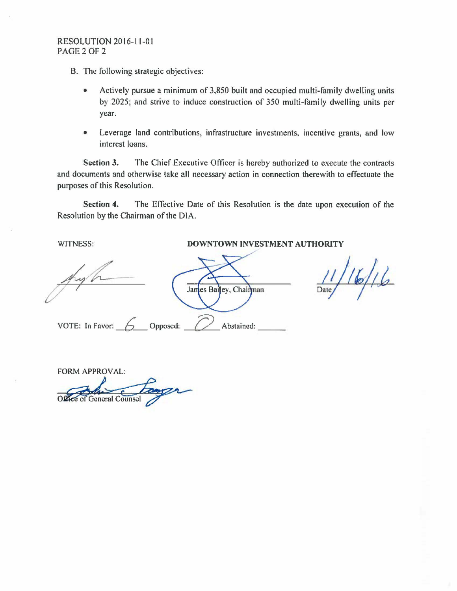## RESOLUTION 2016-11-01 PAGE2OF2

B. The following strategic objectives:

- Actively pursue a minimum of 3,850 built and occupied multi-family dwelling units by 2025; and strive to induce construction of 350 multi-family dwelling units per year.
- Leverage land contributions, infrastructure investments, incentive grants, and low interest loans.

**Section 3.** The Chief Executive Officer is hereby authorized to execute the contracts and documents and otherwise take all necessary action in connection therewith to effectuate the purposes of this Resolution.

**Section 4.** The Effective Date of this Resolution is the date upon execution of the Resolution by the Chairman of the DIA.

James Bailey, Chairman

VOTE: In Favor:  $\begin{array}{c} 6 \end{array}$  Opposed:  $\begin{array}{c} \begin{array}{c} \end{array}$  Abstained:

WITNESS: **DOWNTOWN INVESTMENT AUTHORITY** 

 $16/16$ 

FORM APPROVAL: ORM APPROVAL: